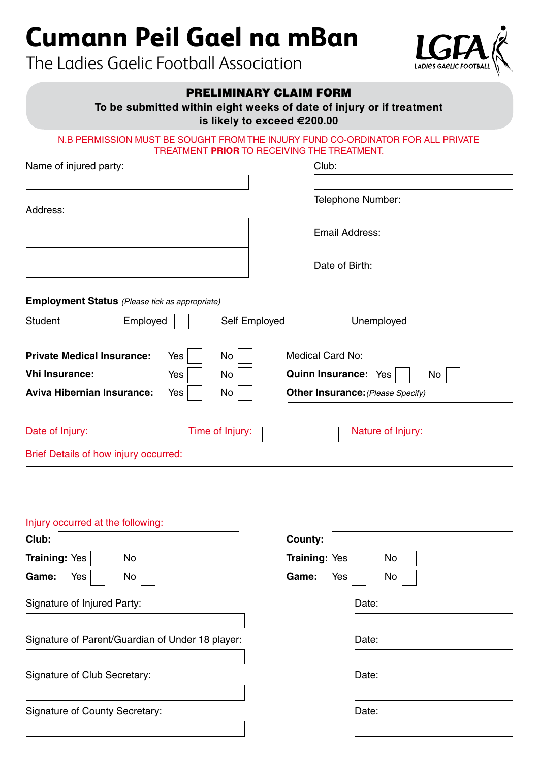# **Cumann Peil Gael na mBan**

The Ladies Gaelic Football Association



# PRELIMINARY CLAIM FORM

**To be submitted within eight weeks of date of injury or if treatment**

**is likely to exceed €200.00**

## N.B PERMISSION MUST BE SOUGHT FROM THE INJURY FUND CO-ORDINATOR FOR ALL PRIVATE TREATMENT **PRIOR** TO RECEIVING THE TREATMENT.

| Name of injured party:                                | Club:                                    |
|-------------------------------------------------------|------------------------------------------|
|                                                       |                                          |
| Address:                                              | Telephone Number:                        |
|                                                       |                                          |
|                                                       | Email Address:                           |
|                                                       |                                          |
|                                                       | Date of Birth:                           |
|                                                       |                                          |
| <b>Employment Status</b> (Please tick as appropriate) |                                          |
| Student<br>Employed                                   | Self Employed<br>Unemployed              |
| <b>Private Medical Insurance:</b><br>No<br>Yes        | Medical Card No:                         |
| <b>Vhi Insurance:</b><br>Yes<br>No                    | <b>Quinn Insurance: Yes</b><br>No        |
| <b>Aviva Hibernian Insurance:</b><br>Yes<br>No        | <b>Other Insurance: (Please Specify)</b> |
|                                                       |                                          |
| Time of Injury:<br>Date of Injury:                    | Nature of Injury:                        |
| Brief Details of how injury occurred:                 |                                          |
|                                                       |                                          |
|                                                       |                                          |
| Injury occurred at the following:                     |                                          |
| Club:                                                 | County:                                  |
| <b>Training: Yes</b><br>No                            | <b>Training: Yes</b><br>No               |
| Game:<br>No<br>Yes                                    | Game:<br>Yes<br>No                       |
| Signature of Injured Party:                           | Date:                                    |
|                                                       |                                          |
| Signature of Parent/Guardian of Under 18 player:      | Date:                                    |
|                                                       |                                          |
| Signature of Club Secretary:                          | Date:                                    |
|                                                       |                                          |
|                                                       |                                          |
| <b>Signature of County Secretary:</b>                 | Date:                                    |
|                                                       |                                          |